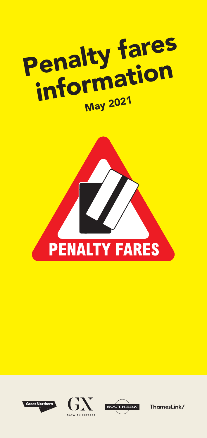









amesLink/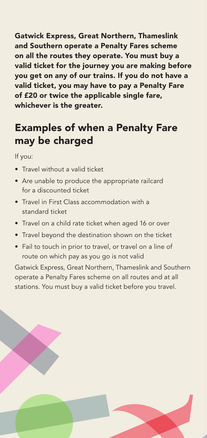Gatwick Express, Great Northern, Thameslink and Southern operate a Penalty Fares scheme on all the routes they operate. You must buy a valid ticket for the journey you are making before you get on any of our trains. If you do not have a valid ticket, you may have to pay a Penalty Fare of £20 or twice the applicable single fare, whichever is the greater.

# Examples of when a Penalty Fare may be charged

If you:

- Travel without a valid ticket
- Are unable to produce the appropriate railcard for a discounted ticket
- Travel in First Class accommodation with a standard ticket
- Travel on a child rate ticket when aged 16 or over
- Travel beyond the destination shown on the ticket
- Fail to touch in prior to travel, or travel on a line of route on which pay as you go is not valid

Gatwick Express, Great Northern, Thameslink and Southern operate a Penalty Fares scheme on all routes and at all stations. You must buy a valid ticket before you travel.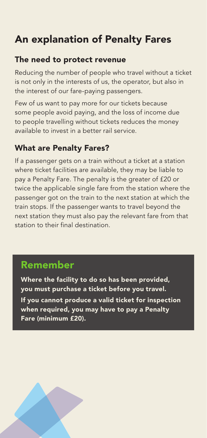# An explanation of Penalty Fares

#### The need to protect revenue

Reducing the number of people who travel without a ticket is not only in the interests of us, the operator, but also in the interest of our fare-paying passengers.

Few of us want to pay more for our tickets because some people avoid paying, and the loss of income due to people travelling without tickets reduces the money available to invest in a better rail service.

# What are Penalty Fares?

If a passenger gets on a train without a ticket at a station where ticket facilities are available, they may be liable to pay a Penalty Fare. The penalty is the greater of £20 or twice the applicable single fare from the station where the passenger got on the train to the next station at which the train stops. If the passenger wants to travel beyond the next station they must also pay the relevant fare from that station to their final destination.

# Remember

Where the facility to do so has been provided, you must purchase a ticket before you travel. If you cannot produce a valid ticket for inspection when required, you may have to pay a Penalty Fare (minimum £20).

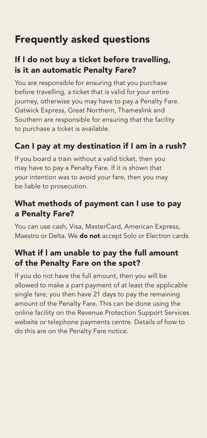# Frequently asked questions

# If I do not buy a ticket before travelling, is it an automatic Penalty Fare?

You are responsible for ensuring that you purchase before travelling, a ticket that is valid for your entire journey, otherwise you may have to pay a Penalty Fare. Gatwick Express, Great Northern, Thameslink and Southern are responsible for ensuring that the facility to purchase a ticket is available.

### Can I pay at my destination if I am in a rush?

If you board a train without a valid ticket, then you may have to pay a Penalty Fare. If it is shown that your intention was to avoid your fare, then you may be liable to prosecution.

#### What methods of payment can I use to pay a Penalty Fare?

You can use cash, Visa, MasterCard, American Express, Maestro or Delta. We **do not** accept Solo or Electron cards.

# What if l am unable to pay the full amount of the Penalty Fare on the spot?

If you do not have the full amount, then you will be allowed to make a part payment of at least the applicable single fare; you then have 21 days to pay the remaining amount of the Penalty Fare. This can be done using the online facility on the Revenue Protection Support Services website or telephone payments centre. Details of how to do this are on the Penalty Fare notice.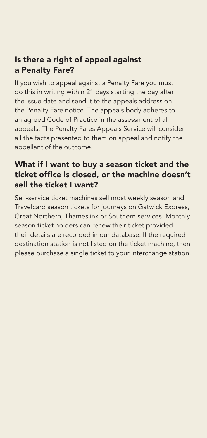#### Is there a right of appeal against a Penalty Fare?

If you wish to appeal against a Penalty Fare you must do this in writing within 21 days starting the day after the issue date and send it to the appeals address on the Penalty Fare notice. The appeals body adheres to an agreed Code of Practice in the assessment of all appeals. The Penalty Fares Appeals Service will consider all the facts presented to them on appeal and notify the appellant of the outcome.

#### What if I want to buy a season ticket and the ticket office is closed, or the machine doesn't sell the ticket I want?

Self-service ticket machines sell most weekly season and Travelcard season tickets for journeys on Gatwick Express, Great Northern, Thameslink or Southern services. Monthly season ticket holders can renew their ticket provided their details are recorded in our database. If the required destination station is not listed on the ticket machine, then please purchase a single ticket to your interchange station.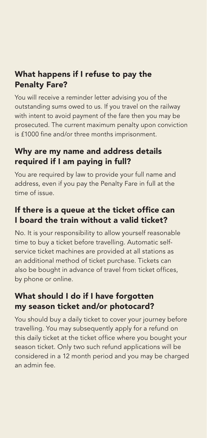# What happens if I refuse to pay the Penalty Fare?

You will receive a reminder letter advising you of the outstanding sums owed to us. If you travel on the railway with intent to avoid payment of the fare then you may be prosecuted. The current maximum penalty upon conviction is £1000 fine and/or three months imprisonment.

# Why are my name and address details required if I am paying in full?

You are required by law to provide your full name and address, even if you pay the Penalty Fare in full at the time of issue.

#### If there is a queue at the ticket office can I board the train without a valid ticket?

No. It is your responsibility to allow yourself reasonable time to buy a ticket before travelling. Automatic selfservice ticket machines are provided at all stations as an additional method of ticket purchase. Tickets can also be bought in advance of travel from ticket offices, by phone or online.

# What should I do if I have forgotten my season ticket and/or photocard?

You should buy a daily ticket to cover your journey before travelling. You may subsequently apply for a refund on this daily ticket at the ticket office where you bought your season ticket. Only two such refund applications will be considered in a 12 month period and you may be charged an admin fee.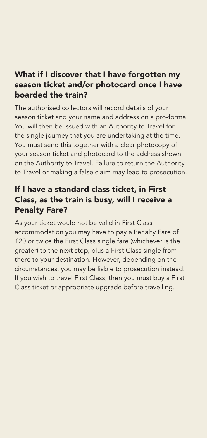#### What if I discover that I have forgotten my season ticket and/or photocard once I have boarded the train?

The authorised collectors will record details of your season ticket and your name and address on a pro-forma. You will then be issued with an Authority to Travel for the single journey that you are undertaking at the time. You must send this together with a clear photocopy of your season ticket and photocard to the address shown on the Authority to Travel. Failure to return the Authority to Travel or making a false claim may lead to prosecution.

#### If I have a standard class ticket, in First Class, as the train is busy, will I receive a Penalty Fare?

As your ticket would not be valid in First Class accommodation you may have to pay a Penalty Fare of £20 or twice the First Class single fare (whichever is the greater) to the next stop, plus a First Class single from there to your destination. However, depending on the circumstances, you may be liable to prosecution instead. If you wish to travel First Class, then you must buy a First Class ticket or appropriate upgrade before travelling.